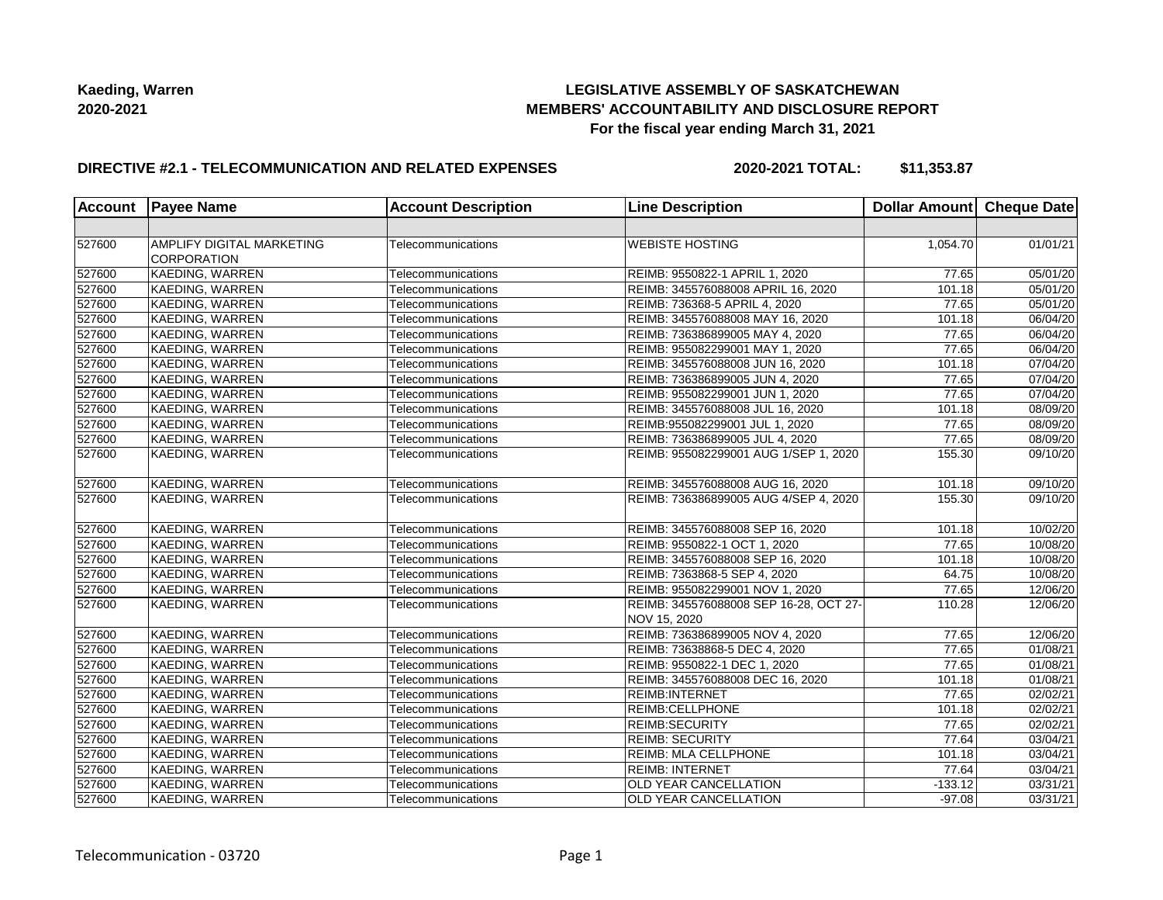## **LEGISLATIVE ASSEMBLY OF SASKATCHEWAN MEMBERS' ACCOUNTABILITY AND DISCLOSURE REPORT For the fiscal year ending March 31, 2021**

#### **DIRECTIVE #2.1 - TELECOMMUNICATION AND RELATED EXPENSES**

**2020-2021 TOTAL: \$11,353.87**

| <b>Account</b> | <b>Payee Name</b>         | <b>Account Description</b> | <b>Line Description</b>                                | Dollar Amount Cheque Date |                       |
|----------------|---------------------------|----------------------------|--------------------------------------------------------|---------------------------|-----------------------|
|                |                           |                            |                                                        |                           |                       |
| 527600         | AMPLIFY DIGITAL MARKETING | Telecommunications         | <b>WEBISTE HOSTING</b>                                 | 1,054.70                  | 01/01/21              |
|                | <b>CORPORATION</b>        |                            |                                                        |                           |                       |
| 527600         | KAEDING, WARREN           | Telecommunications         | REIMB: 9550822-1 APRIL 1, 2020                         | 77.65                     | 05/01/20              |
| 527600         | KAEDING, WARREN           | Telecommunications         | REIMB: 345576088008 APRIL 16, 2020                     | 101.18                    | 05/01/20              |
| 527600         | KAEDING, WARREN           | Telecommunications         | REIMB: 736368-5 APRIL 4, 2020                          | 77.65                     | 05/01/20              |
| 527600         | KAEDING, WARREN           | Telecommunications         | REIMB: 345576088008 MAY 16, 2020                       | 101.18                    | 06/04/20              |
| 527600         | KAEDING, WARREN           | Telecommunications         | REIMB: 736386899005 MAY 4, 2020                        | 77.65                     | 06/04/20              |
| 527600         | <b>KAEDING, WARREN</b>    | Telecommunications         | REIMB: 955082299001 MAY 1, 2020                        | 77.65                     | 06/04/20              |
| 527600         | KAEDING, WARREN           | Telecommunications         | REIMB: 345576088008 JUN 16, 2020                       | 101.18                    | 07/04/20              |
| 527600         | KAEDING, WARREN           | Telecommunications         | REIMB: 736386899005 JUN 4, 2020                        | 77.65                     | 07/04/20              |
| 527600         | KAEDING, WARREN           | Telecommunications         | REIMB: 955082299001 JUN 1, 2020                        | 77.65                     | 07/04/20              |
| 527600         | <b>KAEDING, WARREN</b>    | Telecommunications         | REIMB: 345576088008 JUL 16, 2020                       | 101.18                    | 08/09/20              |
| 527600         | KAEDING, WARREN           | Telecommunications         | REIMB:955082299001 JUL 1, 2020                         | 77.65                     | 08/09/20              |
| 527600         | KAEDING, WARREN           | Telecommunications         | REIMB: 736386899005 JUL 4, 2020                        | 77.65                     | 08/09/20              |
| 527600         | KAEDING, WARREN           | Telecommunications         | REIMB: 955082299001 AUG 1/SEP 1, 2020                  | 155.30                    | 09/10/20              |
| 527600         | KAEDING, WARREN           | Telecommunications         | REIMB: 345576088008 AUG 16, 2020                       | 101.18                    | 09/10/20              |
| 527600         | KAEDING, WARREN           | Telecommunications         | REIMB: 736386899005 AUG 4/SEP 4, 2020                  | 155.30                    | 09/10/20              |
| 527600         | KAEDING, WARREN           | Telecommunications         | REIMB: 345576088008 SEP 16, 2020                       | 101.18                    | 10/02/20              |
| 527600         | KAEDING, WARREN           | Telecommunications         | REIMB: 9550822-1 OCT 1, 2020                           | 77.65                     | 10/08/20              |
| 527600         | KAEDING, WARREN           | Telecommunications         | REIMB: 345576088008 SEP 16, 2020                       | 101.18                    | 10/08/20              |
| 527600         | KAEDING, WARREN           | Telecommunications         | REIMB: 7363868-5 SEP 4, 2020                           | 64.75                     | 10/08/20              |
| 527600         | <b>KAEDING, WARREN</b>    | Telecommunications         | REIMB: 955082299001 NOV 1, 2020                        | 77.65                     | 12/06/20              |
| 527600         | KAEDING, WARREN           | Telecommunications         | REIMB: 345576088008 SEP 16-28, OCT 27-<br>NOV 15, 2020 | 110.28                    | 12/06/20              |
| 527600         | KAEDING, WARREN           | Telecommunications         | REIMB: 736386899005 NOV 4, 2020                        | 77.65                     | 12/06/20              |
| 527600         | KAEDING, WARREN           | Telecommunications         | REIMB: 73638868-5 DEC 4, 2020                          | 77.65                     | 01/08/21              |
| 527600         | KAEDING, WARREN           | Telecommunications         | REIMB: 9550822-1 DEC 1, 2020                           | 77.65                     | 01/08/21              |
| 527600         | <b>KAEDING, WARREN</b>    | Telecommunications         | REIMB: 345576088008 DEC 16, 2020                       | 101.18                    | 01/08/21              |
| 527600         | <b>KAEDING, WARREN</b>    | Telecommunications         | <b>REIMB:INTERNET</b>                                  | 77.65                     | $\overline{02/02/21}$ |
| 527600         | KAEDING, WARREN           | Telecommunications         | REIMB:CELLPHONE                                        | 101.18                    | 02/02/21              |
| 527600         | KAEDING, WARREN           | Telecommunications         | <b>REIMB:SECURITY</b>                                  | 77.65                     | 02/02/21              |
| 527600         | KAEDING, WARREN           | Telecommunications         | <b>REIMB: SECURITY</b>                                 | 77.64                     | 03/04/21              |
| 527600         | KAEDING, WARREN           | Telecommunications         | REIMB: MLA CELLPHONE                                   | 101.18                    | 03/04/21              |
| 527600         | KAEDING, WARREN           | Telecommunications         | <b>REIMB: INTERNET</b>                                 | 77.64                     | 03/04/21              |
| 527600         | <b>KAEDING, WARREN</b>    | Telecommunications         | OLD YEAR CANCELLATION                                  | $-133.12$                 | 03/31/21              |
|                |                           |                            |                                                        |                           |                       |
| 527600         | <b>KAEDING, WARREN</b>    | Telecommunications         | OLD YEAR CANCELLATION                                  | $-97.08$                  | 03/31/21              |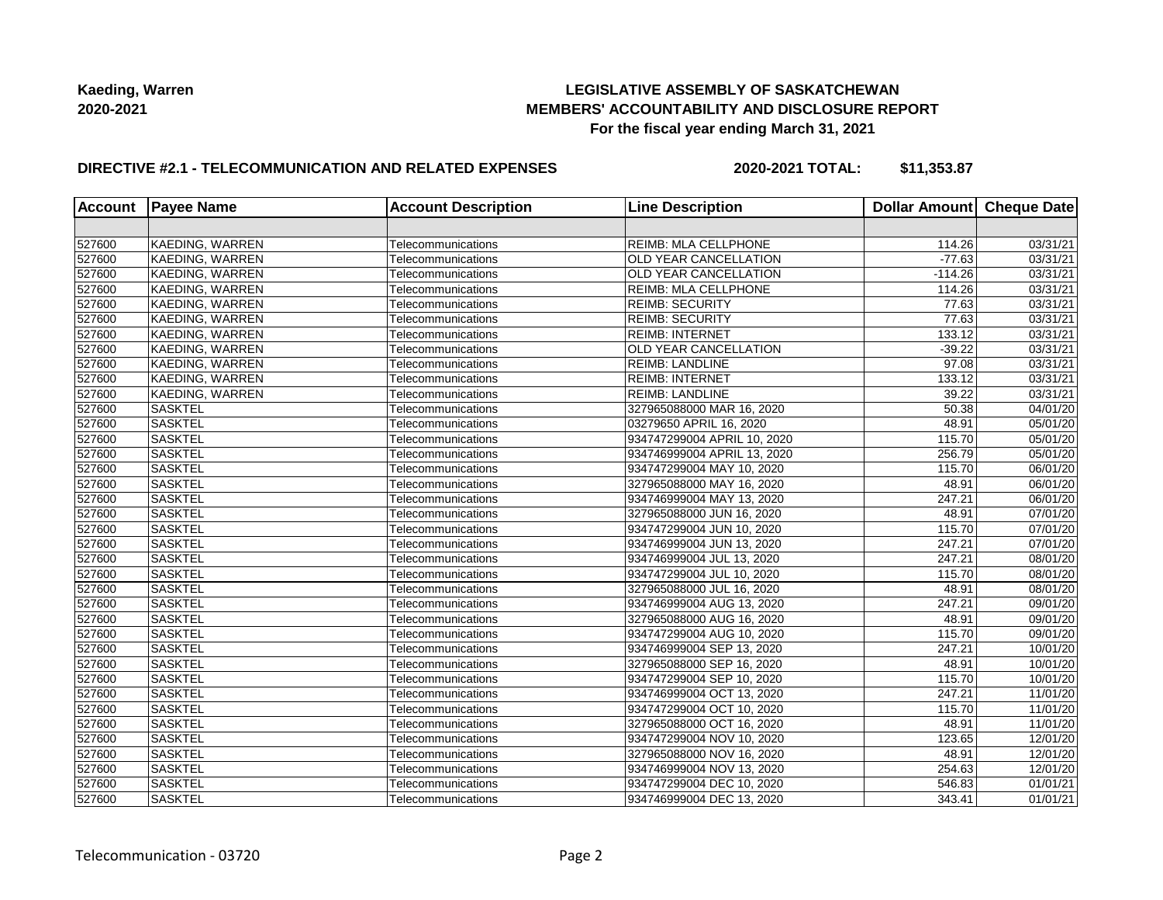## **LEGISLATIVE ASSEMBLY OF SASKATCHEWAN MEMBERS' ACCOUNTABILITY AND DISCLOSURE REPORT For the fiscal year ending March 31, 2021**

### **DIRECTIVE #2.1 - TELECOMMUNICATION AND RELATED EXPENSES**

**2020-2021 TOTAL: \$11,353.87**

|        | <b>Account Payee Name</b> | <b>Account Description</b> | <b>Line Description</b>      | Dollar Amount   Cheque Date |                       |
|--------|---------------------------|----------------------------|------------------------------|-----------------------------|-----------------------|
|        |                           |                            |                              |                             |                       |
| 527600 | KAEDING, WARREN           | Telecommunications         | REIMB: MLA CELLPHONE         | 114.26                      | 03/31/21              |
| 527600 | KAEDING, WARREN           | Telecommunications         | <b>OLD YEAR CANCELLATION</b> | $-77.63$                    | 03/31/21              |
| 527600 | KAEDING, WARREN           | Telecommunications         | <b>OLD YEAR CANCELLATION</b> | $-114.26$                   | 03/31/21              |
| 527600 | KAEDING, WARREN           | Telecommunications         | <b>REIMB: MLA CELLPHONE</b>  | 114.26                      | 03/31/21              |
| 527600 | KAEDING, WARREN           | Telecommunications         | <b>REIMB: SECURITY</b>       | 77.63                       | 03/31/21              |
| 527600 | <b>KAEDING, WARREN</b>    | Telecommunications         | <b>REIMB: SECURITY</b>       | 77.63                       | 03/31/21              |
| 527600 | KAEDING, WARREN           | Telecommunications         | <b>REIMB: INTERNET</b>       | 133.12                      | 03/31/21              |
| 527600 | KAEDING, WARREN           | Telecommunications         | <b>OLD YEAR CANCELLATION</b> | $-39.22$                    | 03/31/21              |
| 527600 | KAEDING, WARREN           | Telecommunications         | <b>REIMB: LANDLINE</b>       | 97.08                       | 03/31/21              |
| 527600 | KAEDING, WARREN           | Telecommunications         | <b>REIMB: INTERNET</b>       | 133.12                      | 03/31/21              |
| 527600 | KAEDING, WARREN           | Telecommunications         | <b>REIMB: LANDLINE</b>       | 39.22                       | 03/31/21              |
| 527600 | <b>SASKTEL</b>            | Telecommunications         | 327965088000 MAR 16, 2020    | 50.38                       | 04/01/20              |
| 527600 | <b>SASKTEL</b>            | Telecommunications         | 03279650 APRIL 16, 2020      | 48.91                       | $\overline{0}5/01/20$ |
| 527600 | <b>SASKTEL</b>            | Telecommunications         | 934747299004 APRIL 10, 2020  | 115.70                      | 05/01/20              |
| 527600 | <b>SASKTEL</b>            | Telecommunications         | 934746999004 APRIL 13, 2020  | 256.79                      | 05/01/20              |
| 527600 | <b>SASKTEL</b>            | Telecommunications         | 934747299004 MAY 10, 2020    | 115.70                      | 06/01/20              |
| 527600 | SASKTEL                   | Telecommunications         | 327965088000 MAY 16, 2020    | 48.91                       | 06/01/20              |
| 527600 | <b>SASKTEL</b>            | Telecommunications         | 934746999004 MAY 13, 2020    | 247.21                      | $\overline{06}/01/20$ |
| 527600 | <b>SASKTEL</b>            | Telecommunications         | 327965088000 JUN 16, 2020    | 48.91                       | 07/01/20              |
| 527600 | <b>SASKTEL</b>            | Telecommunications         | 934747299004 JUN 10, 2020    | 115.70                      | 07/01/20              |
| 527600 | <b>SASKTEL</b>            | Telecommunications         | 934746999004 JUN 13, 2020    | 247.21                      | 07/01/20              |
| 527600 | <b>SASKTEL</b>            | Telecommunications         | 934746999004 JUL 13, 2020    | 247.21                      | 08/01/20              |
| 527600 | <b>SASKTEL</b>            | Telecommunications         | 934747299004 JUL 10, 2020    | 115.70                      | 08/01/20              |
| 527600 | <b>SASKTEL</b>            | Telecommunications         | 327965088000 JUL 16, 2020    | 48.91                       | 08/01/20              |
| 527600 | <b>SASKTEL</b>            | Telecommunications         | 934746999004 AUG 13, 2020    | 247.21                      | 09/01/20              |
| 527600 | <b>SASKTEL</b>            | Telecommunications         | 327965088000 AUG 16, 2020    | 48.91                       | 09/01/20              |
| 527600 | <b>SASKTEL</b>            | Telecommunications         | 934747299004 AUG 10, 2020    | 115.70                      | $\overline{09/0}1/20$ |
| 527600 | <b>SASKTEL</b>            | Telecommunications         | 934746999004 SEP 13, 2020    | 247.21                      | 10/01/20              |
| 527600 | <b>SASKTEL</b>            | Telecommunications         | 327965088000 SEP 16, 2020    | 48.91                       | 10/01/20              |
| 527600 | <b>SASKTEL</b>            | Telecommunications         | 934747299004 SEP 10, 2020    | 115.70                      | 10/01/20              |
| 527600 | <b>SASKTEL</b>            | Telecommunications         | 934746999004 OCT 13, 2020    | 247.21                      | 11/01/20              |
| 527600 | <b>SASKTEL</b>            | Telecommunications         | 934747299004 OCT 10, 2020    | 115.70                      | 11/01/20              |
| 527600 | SASKTEL                   | Telecommunications         | 327965088000 OCT 16, 2020    | 48.91                       | 11/01/20              |
| 527600 | <b>SASKTEL</b>            | Telecommunications         | 934747299004 NOV 10, 2020    | 123.65                      | $\overline{12}/01/20$ |
| 527600 | <b>SASKTEL</b>            | Telecommunications         | 327965088000 NOV 16, 2020    | 48.91                       | 12/01/20              |
| 527600 | <b>SASKTEL</b>            | Telecommunications         | 934746999004 NOV 13, 2020    | 254.63                      | 12/01/20              |
| 527600 | <b>SASKTEL</b>            | Telecommunications         | 934747299004 DEC 10, 2020    | 546.83                      | 01/01/21              |
| 527600 | <b>SASKTEL</b>            | Telecommunications         | 934746999004 DEC 13, 2020    | 343.41                      | 01/01/21              |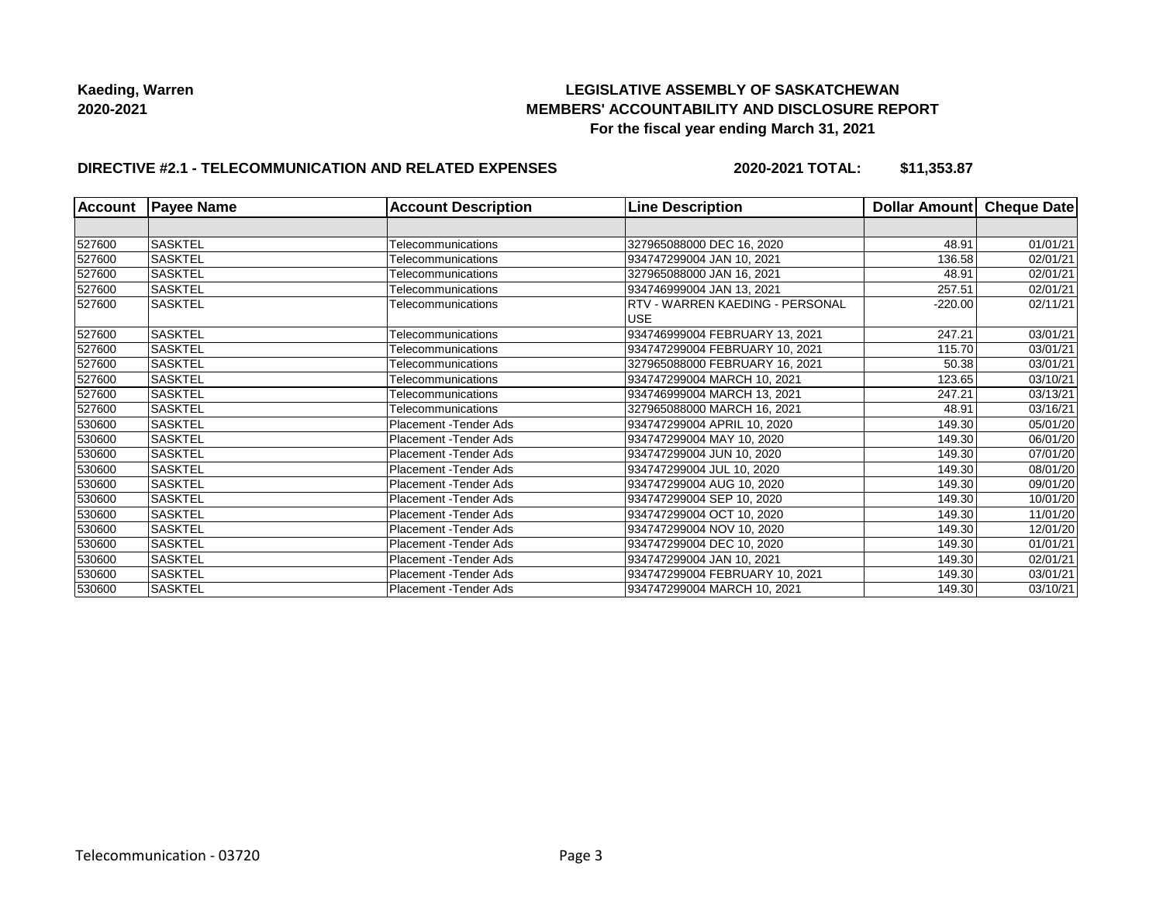## **LEGISLATIVE ASSEMBLY OF SASKATCHEWAN MEMBERS' ACCOUNTABILITY AND DISCLOSURE REPORT For the fiscal year ending March 31, 2021**

## **DIRECTIVE #2.1 - TELECOMMUNICATION AND RELATED EXPENSES**

**2020-2021 TOTAL: \$11,353.87**

| <b>Account</b> | <b>Payee Name</b> | <b>Account Description</b> | <b>Line Description</b>         | Dollar Amount Cheque Date |          |
|----------------|-------------------|----------------------------|---------------------------------|---------------------------|----------|
|                |                   |                            |                                 |                           |          |
| 527600         | <b>SASKTEL</b>    | Telecommunications         | 327965088000 DEC 16, 2020       | 48.91                     | 01/01/21 |
| 527600         | <b>SASKTEL</b>    | Telecommunications         | 934747299004 JAN 10, 2021       | 136.58                    | 02/01/21 |
| 527600         | <b>SASKTEL</b>    | Telecommunications         | 327965088000 JAN 16, 2021       | 48.91                     | 02/01/21 |
| 527600         | <b>SASKTEL</b>    | Telecommunications         | 934746999004 JAN 13, 2021       | 257.51                    | 02/01/21 |
| 527600         | <b>SASKTEL</b>    | Telecommunications         | RTV - WARREN KAEDING - PERSONAL | $-220.00$                 | 02/11/21 |
|                |                   |                            | <b>USE</b>                      |                           |          |
| 527600         | <b>SASKTEL</b>    | Telecommunications         | 934746999004 FEBRUARY 13, 2021  | 247.21                    | 03/01/21 |
| 527600         | <b>SASKTEL</b>    | Telecommunications         | 934747299004 FEBRUARY 10, 2021  | 115.70                    | 03/01/21 |
| 527600         | <b>SASKTEL</b>    | Telecommunications         | 327965088000 FEBRUARY 16, 2021  | 50.38                     | 03/01/21 |
| 527600         | <b>SASKTEL</b>    | Telecommunications         | 934747299004 MARCH 10, 2021     | 123.65                    | 03/10/21 |
| 527600         | <b>SASKTEL</b>    | Telecommunications         | 934746999004 MARCH 13, 2021     | 247.21                    | 03/13/21 |
| 527600         | <b>SASKTEL</b>    | Telecommunications         | 327965088000 MARCH 16, 2021     | 48.91                     | 03/16/21 |
| 530600         | <b>SASKTEL</b>    | Placement - Tender Ads     | 934747299004 APRIL 10, 2020     | 149.30                    | 05/01/20 |
| 530600         | <b>SASKTEL</b>    | Placement - Tender Ads     | 934747299004 MAY 10, 2020       | 149.30                    | 06/01/20 |
| 530600         | <b>SASKTEL</b>    | Placement - Tender Ads     | 934747299004 JUN 10, 2020       | 149.30                    | 07/01/20 |
| 530600         | <b>SASKTEL</b>    | Placement - Tender Ads     | 934747299004 JUL 10, 2020       | 149.30                    | 08/01/20 |
| 530600         | <b>SASKTEL</b>    | Placement - Tender Ads     | 934747299004 AUG 10, 2020       | 149.30                    | 09/01/20 |
| 530600         | <b>SASKTEL</b>    | Placement - Tender Ads     | 934747299004 SEP 10, 2020       | 149.30                    | 10/01/20 |
| 530600         | <b>SASKTEL</b>    | Placement - Tender Ads     | 934747299004 OCT 10, 2020       | 149.30                    | 11/01/20 |
| 530600         | <b>SASKTEL</b>    | Placement - Tender Ads     | 934747299004 NOV 10, 2020       | 149.30                    | 12/01/20 |
| 530600         | <b>SASKTEL</b>    | Placement - Tender Ads     | 934747299004 DEC 10, 2020       | 149.30                    | 01/01/21 |
| 530600         | <b>SASKTEL</b>    | Placement - Tender Ads     | 934747299004 JAN 10, 2021       | 149.30                    | 02/01/21 |
| 530600         | <b>SASKTEL</b>    | Placement - Tender Ads     | 934747299004 FEBRUARY 10, 2021  | 149.30                    | 03/01/21 |
| 530600         | <b>SASKTEL</b>    | Placement - Tender Ads     | 934747299004 MARCH 10, 2021     | 149.30                    | 03/10/21 |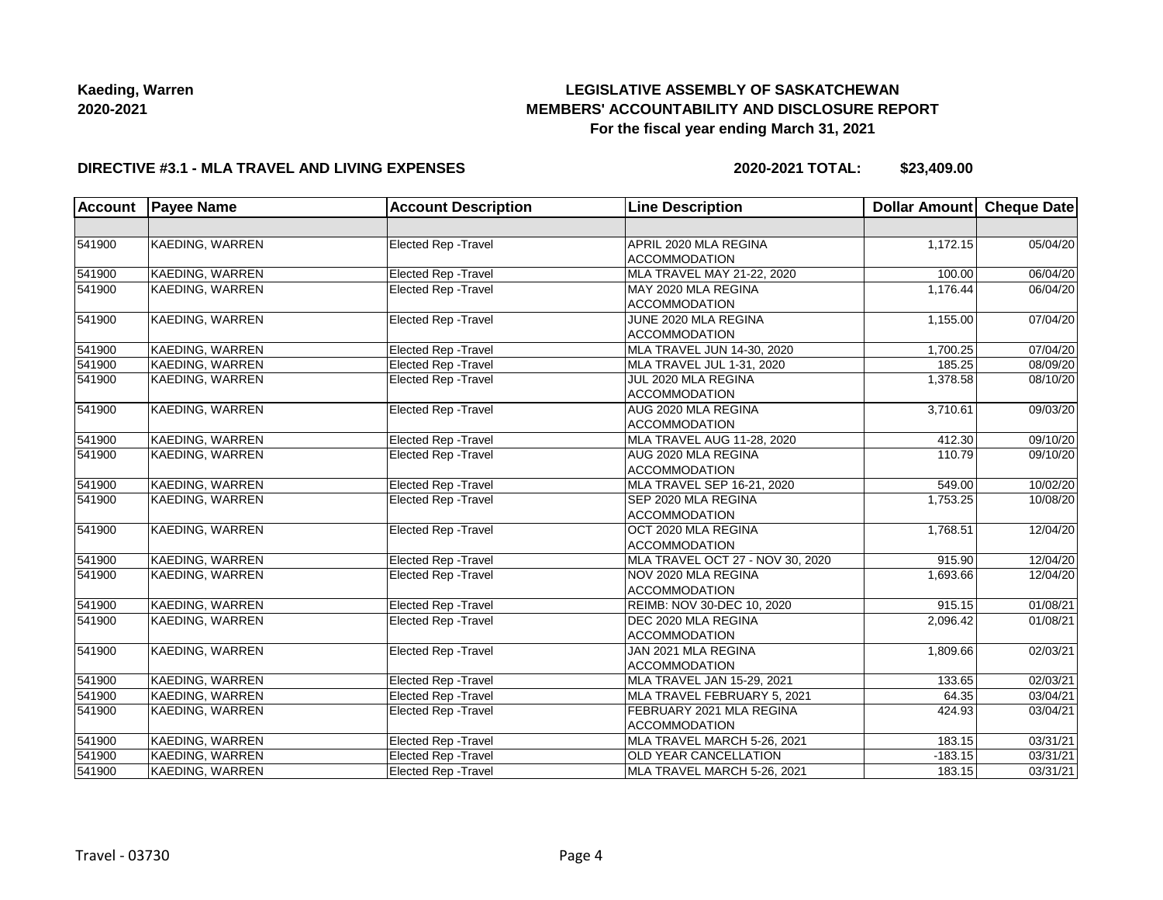# **LEGISLATIVE ASSEMBLY OF SASKATCHEWAN MEMBERS' ACCOUNTABILITY AND DISCLOSURE REPORT For the fiscal year ending March 31, 2021**

#### **DIRECTIVE #3.1 - MLA TRAVEL AND LIVING EXPENSES**

**2020-2021 TOTAL: \$23,409.00**

| <b>Account</b> | <b>Payee Name</b>      | <b>Account Description</b>  | <b>Line Description</b>                          | Dollar Amount Cheque Date |          |
|----------------|------------------------|-----------------------------|--------------------------------------------------|---------------------------|----------|
|                |                        |                             |                                                  |                           |          |
| 541900         | <b>KAEDING, WARREN</b> | <b>Elected Rep - Travel</b> | APRIL 2020 MLA REGINA<br><b>ACCOMMODATION</b>    | 1,172.15                  | 05/04/20 |
| 541900         | KAEDING, WARREN        | Elected Rep - Travel        | MLA TRAVEL MAY 21-22, 2020                       | 100.00                    | 06/04/20 |
| 541900         | <b>KAEDING, WARREN</b> | Elected Rep - Travel        | MAY 2020 MLA REGINA<br><b>ACCOMMODATION</b>      | 1,176.44                  | 06/04/20 |
| 541900         | KAEDING, WARREN        | Elected Rep - Travel        | JUNE 2020 MLA REGINA<br><b>ACCOMMODATION</b>     | 1,155.00                  | 07/04/20 |
| 541900         | KAEDING, WARREN        | <b>Elected Rep - Travel</b> | MLA TRAVEL JUN 14-30, 2020                       | 1,700.25                  | 07/04/20 |
| 541900         | KAEDING, WARREN        | <b>Elected Rep - Travel</b> | MLA TRAVEL JUL 1-31, 2020                        | 185.25                    | 08/09/20 |
| 541900         | KAEDING, WARREN        | <b>Elected Rep - Travel</b> | JUL 2020 MLA REGINA<br>ACCOMMODATION             | 1,378.58                  | 08/10/20 |
| 541900         | KAEDING, WARREN        | Elected Rep - Travel        | AUG 2020 MLA REGINA<br><b>ACCOMMODATION</b>      | 3,710.61                  | 09/03/20 |
| 541900         | KAEDING, WARREN        | <b>Elected Rep - Travel</b> | MLA TRAVEL AUG 11-28, 2020                       | 412.30                    | 09/10/20 |
| 541900         | <b>KAEDING, WARREN</b> | Elected Rep - Travel        | AUG 2020 MLA REGINA<br><b>ACCOMMODATION</b>      | 110.79                    | 09/10/20 |
| 541900         | KAEDING, WARREN        | Elected Rep - Travel        | MLA TRAVEL SEP 16-21, 2020                       | 549.00                    | 10/02/20 |
| 541900         | KAEDING, WARREN        | Elected Rep - Travel        | SEP 2020 MLA REGINA<br><b>ACCOMMODATION</b>      | 1,753.25                  | 10/08/20 |
| 541900         | KAEDING, WARREN        | Elected Rep - Travel        | OCT 2020 MLA REGINA<br><b>ACCOMMODATION</b>      | 1,768.51                  | 12/04/20 |
| 541900         | KAEDING, WARREN        | Elected Rep - Travel        | MLA TRAVEL OCT 27 - NOV 30, 2020                 | 915.90                    | 12/04/20 |
| 541900         | <b>KAEDING, WARREN</b> | Elected Rep - Travel        | NOV 2020 MLA REGINA<br><b>ACCOMMODATION</b>      | 1,693.66                  | 12/04/20 |
| 541900         | <b>KAEDING, WARREN</b> | Elected Rep - Travel        | <b>REIMB: NOV 30-DEC 10, 2020</b>                | 915.15                    | 01/08/21 |
| 541900         | <b>KAEDING, WARREN</b> | Elected Rep - Travel        | DEC 2020 MLA REGINA<br><b>ACCOMMODATION</b>      | 2,096.42                  | 01/08/21 |
| 541900         | <b>KAEDING, WARREN</b> | <b>Elected Rep - Travel</b> | JAN 2021 MLA REGINA<br><b>ACCOMMODATION</b>      | 1,809.66                  | 02/03/21 |
| 541900         | KAEDING, WARREN        | Elected Rep - Travel        | MLA TRAVEL JAN 15-29, 2021                       | 133.65                    | 02/03/21 |
| 541900         | <b>KAEDING, WARREN</b> | Elected Rep - Travel        | MLA TRAVEL FEBRUARY 5, 2021                      | 64.35                     | 03/04/21 |
| 541900         | <b>KAEDING, WARREN</b> | Elected Rep - Travel        | FEBRUARY 2021 MLA REGINA<br><b>ACCOMMODATION</b> | 424.93                    | 03/04/21 |
| 541900         | KAEDING, WARREN        | Elected Rep - Travel        | MLA TRAVEL MARCH 5-26, 2021                      | 183.15                    | 03/31/21 |
| 541900         | KAEDING, WARREN        | Elected Rep - Travel        | <b>OLD YEAR CANCELLATION</b>                     | $-183.15$                 | 03/31/21 |
| 541900         | <b>KAEDING, WARREN</b> | <b>Elected Rep - Travel</b> | MLA TRAVEL MARCH 5-26, 2021                      | 183.15                    | 03/31/21 |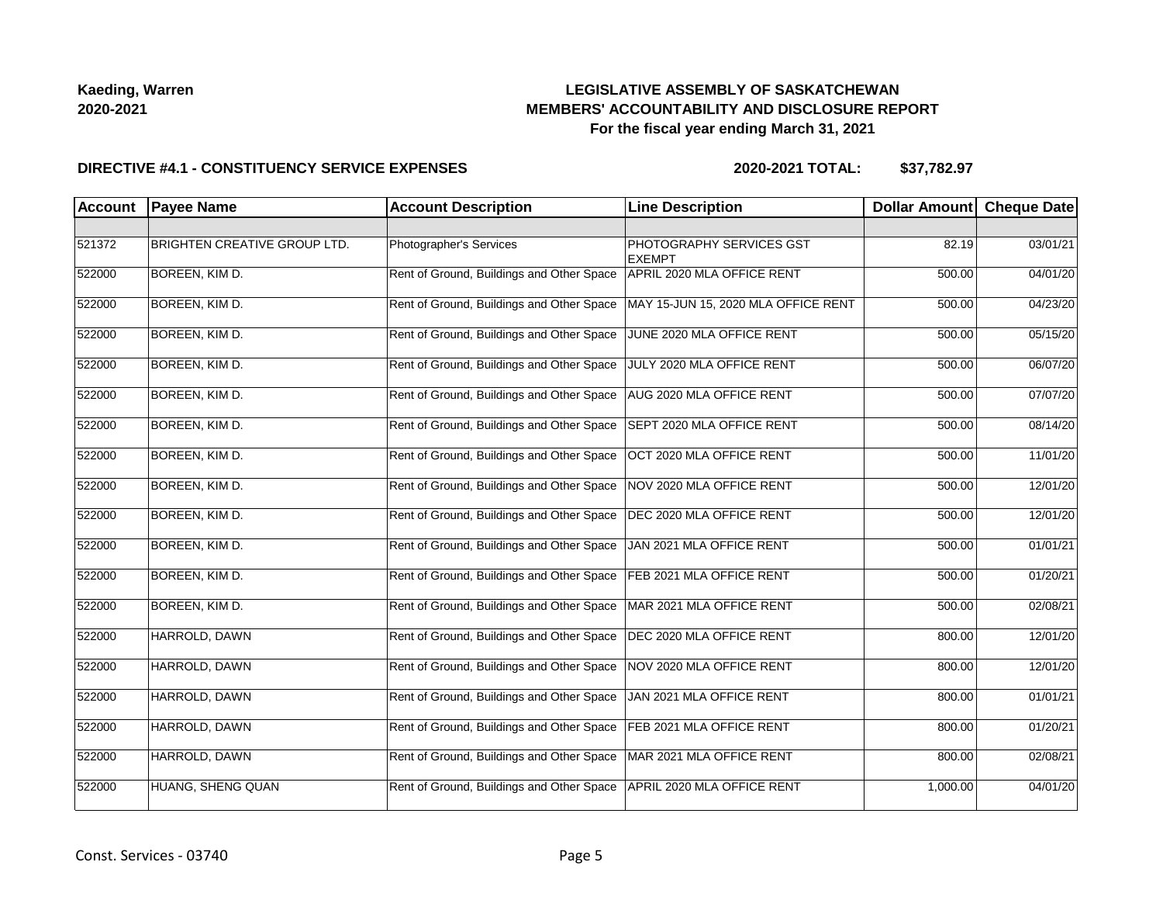## **LEGISLATIVE ASSEMBLY OF SASKATCHEWAN MEMBERS' ACCOUNTABILITY AND DISCLOSURE REPORT For the fiscal year ending March 31, 2021**

#### **DIRECTIVE #4.1 - CONSTITUENCY SERVICE EXPENSES**

| <b>Account</b> | <b>Payee Name</b>                   | <b>Account Description</b>                | <b>Line Description</b>                   | <b>Dollar Amount</b> | <b>Cheque Date</b> |
|----------------|-------------------------------------|-------------------------------------------|-------------------------------------------|----------------------|--------------------|
|                |                                     |                                           |                                           |                      |                    |
| 521372         | <b>BRIGHTEN CREATIVE GROUP LTD.</b> | Photographer's Services                   | PHOTOGRAPHY SERVICES GST<br><b>EXEMPT</b> | 82.19                | 03/01/21           |
| 522000         | BOREEN, KIM D.                      | Rent of Ground, Buildings and Other Space | APRIL 2020 MLA OFFICE RENT                | 500.00               | 04/01/20           |
| 522000         | BOREEN, KIM D.                      | Rent of Ground, Buildings and Other Space | MAY 15-JUN 15, 2020 MLA OFFICE RENT       | 500.00               | 04/23/20           |
| 522000         | BOREEN, KIM D.                      | Rent of Ground, Buildings and Other Space | JUNE 2020 MLA OFFICE RENT                 | 500.00               | 05/15/20           |
| 522000         | <b>BOREEN, KIM D.</b>               | Rent of Ground, Buildings and Other Space | JULY 2020 MLA OFFICE RENT                 | 500.00               | 06/07/20           |
| 522000         | BOREEN, KIM D.                      | Rent of Ground, Buildings and Other Space | AUG 2020 MLA OFFICE RENT                  | 500.00               | 07/07/20           |
| 522000         | BOREEN, KIM D.                      | Rent of Ground, Buildings and Other Space | SEPT 2020 MLA OFFICE RENT                 | 500.00               | 08/14/20           |
| 522000         | <b>BOREEN, KIM D.</b>               | Rent of Ground, Buildings and Other Space | OCT 2020 MLA OFFICE RENT                  | 500.00               | 11/01/20           |
| 522000         | BOREEN, KIM D.                      | Rent of Ground, Buildings and Other Space | NOV 2020 MLA OFFICE RENT                  | 500.00               | 12/01/20           |
| 522000         | BOREEN, KIM D.                      | Rent of Ground, Buildings and Other Space | DEC 2020 MLA OFFICE RENT                  | 500.00               | 12/01/20           |
| 522000         | BOREEN, KIM D.                      | Rent of Ground, Buildings and Other Space | JAN 2021 MLA OFFICE RENT                  | 500.00               | 01/01/21           |
| 522000         | BOREEN, KIM D.                      | Rent of Ground, Buildings and Other Space | FEB 2021 MLA OFFICE RENT                  | 500.00               | 01/20/21           |
| 522000         | BOREEN, KIM D.                      | Rent of Ground, Buildings and Other Space | MAR 2021 MLA OFFICE RENT                  | 500.00               | 02/08/21           |
| 522000         | HARROLD, DAWN                       | Rent of Ground, Buildings and Other Space | DEC 2020 MLA OFFICE RENT                  | 800.00               | 12/01/20           |
| 522000         | HARROLD, DAWN                       | Rent of Ground, Buildings and Other Space | NOV 2020 MLA OFFICE RENT                  | 800.00               | 12/01/20           |
| 522000         | HARROLD, DAWN                       | Rent of Ground, Buildings and Other Space | JAN 2021 MLA OFFICE RENT                  | 800.00               | 01/01/21           |
| 522000         | HARROLD, DAWN                       | Rent of Ground, Buildings and Other Space | FEB 2021 MLA OFFICE RENT                  | 800.00               | 01/20/21           |
| 522000         | HARROLD, DAWN                       | Rent of Ground, Buildings and Other Space | MAR 2021 MLA OFFICE RENT                  | 800.00               | 02/08/21           |
| 522000         | HUANG, SHENG QUAN                   | Rent of Ground, Buildings and Other Space | APRIL 2020 MLA OFFICE RENT                | 1,000.00             | 04/01/20           |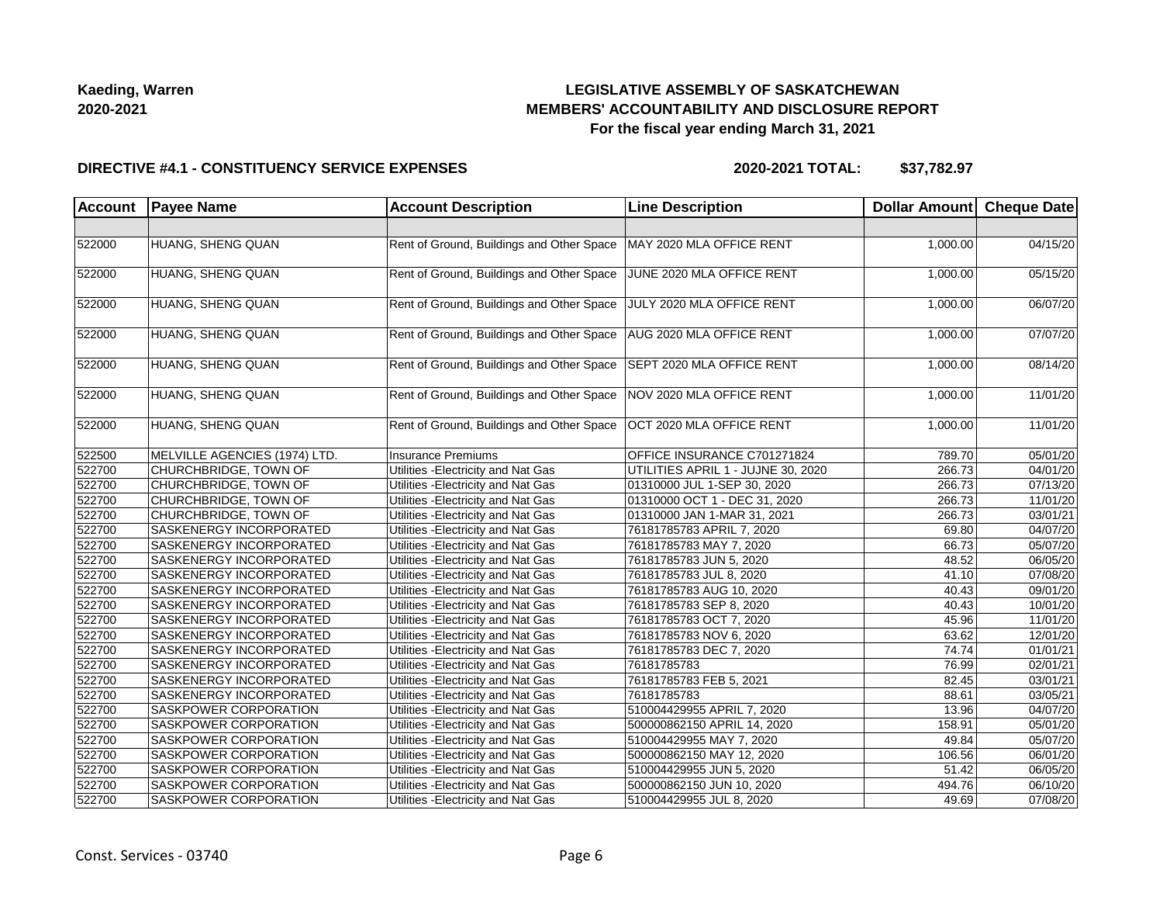## **LEGISLATIVE ASSEMBLY OF SASKATCHEWAN MEMBERS' ACCOUNTABILITY AND DISCLOSURE REPORT For the fiscal year ending March 31, 2021**

#### **DIRECTIVE #4.1 - CONSTITUENCY SERVICE EXPENSES**

| <b>Account</b> | <b>Payee Name</b>             | <b>Account Description</b>                | <b>Line Description</b>            | Dollar Amount Cheque Date |                       |
|----------------|-------------------------------|-------------------------------------------|------------------------------------|---------------------------|-----------------------|
|                |                               |                                           |                                    |                           |                       |
| 522000         | HUANG, SHENG QUAN             | Rent of Ground, Buildings and Other Space | MAY 2020 MLA OFFICE RENT           | 1,000.00                  | 04/15/20              |
| 522000         | HUANG, SHENG QUAN             | Rent of Ground, Buildings and Other Space | JUNE 2020 MLA OFFICE RENT          | 1,000.00                  | 05/15/20              |
| 522000         | HUANG, SHENG QUAN             | Rent of Ground, Buildings and Other Space | JULY 2020 MLA OFFICE RENT          | 1,000.00                  | 06/07/20              |
| 522000         | HUANG, SHENG QUAN             | Rent of Ground, Buildings and Other Space | AUG 2020 MLA OFFICE RENT           | 1,000.00                  | 07/07/20              |
| 522000         | HUANG, SHENG QUAN             | Rent of Ground, Buildings and Other Space | SEPT 2020 MLA OFFICE RENT          | 1,000.00                  | 08/14/20              |
| 522000         | HUANG, SHENG QUAN             | Rent of Ground, Buildings and Other Space | NOV 2020 MLA OFFICE RENT           | 1,000.00                  | 11/01/20              |
| 522000         | HUANG, SHENG QUAN             | Rent of Ground, Buildings and Other Space | OCT 2020 MLA OFFICE RENT           | 1,000.00                  | 11/01/20              |
| 522500         | MELVILLE AGENCIES (1974) LTD. | Insurance Premiums                        | OFFICE INSURANCE C701271824        | 789.70                    | 05/01/20              |
| 522700         | CHURCHBRIDGE, TOWN OF         | Utilities - Electricity and Nat Gas       | UTILITIES APRIL 1 - JUJNE 30, 2020 | 266.73                    | 04/01/20              |
| 522700         | CHURCHBRIDGE, TOWN OF         | Utilities - Electricity and Nat Gas       | 01310000 JUL 1-SEP 30, 2020        | 266.73                    | 07/13/20              |
| 522700         | CHURCHBRIDGE, TOWN OF         | Utilities - Electricity and Nat Gas       | 01310000 OCT 1 - DEC 31, 2020      | 266.73                    | 11/01/20              |
| 522700         | CHURCHBRIDGE, TOWN OF         | Utilities - Electricity and Nat Gas       | 01310000 JAN 1-MAR 31, 2021        | 266.73                    | 03/01/21              |
| 522700         | SASKENERGY INCORPORATED       | Utilities - Electricity and Nat Gas       | 76181785783 APRIL 7, 2020          | 69.80                     | 04/07/20              |
| 522700         | SASKENERGY INCORPORATED       | Utilities - Electricity and Nat Gas       | 76181785783 MAY 7, 2020            | 66.73                     | 05/07/20              |
| 522700         | SASKENERGY INCORPORATED       | Utilities - Electricity and Nat Gas       | 76181785783 JUN 5, 2020            | 48.52                     | 06/05/20              |
| 522700         | SASKENERGY INCORPORATED       | Utilities - Electricity and Nat Gas       | 76181785783 JUL 8, 2020            | 41.10                     | 07/08/20              |
| 522700         | SASKENERGY INCORPORATED       | Utilities - Electricity and Nat Gas       | 76181785783 AUG 10, 2020           | 40.43                     | 09/01/20              |
| 522700         | SASKENERGY INCORPORATED       | Utilities - Electricity and Nat Gas       | 76181785783 SEP 8, 2020            | 40.43                     | 10/01/20              |
| 522700         | SASKENERGY INCORPORATED       | Utilities - Electricity and Nat Gas       | 76181785783 OCT 7, 2020            | 45.96                     | 11/01/20              |
| 522700         | SASKENERGY INCORPORATED       | Utilities - Electricity and Nat Gas       | 76181785783 NOV 6, 2020            | 63.62                     | 12/01/20              |
| 522700         | SASKENERGY INCORPORATED       | Utilities - Electricity and Nat Gas       | 76181785783 DEC 7, 2020            | 74.74                     | $\overline{01/01/21}$ |
| 522700         | SASKENERGY INCORPORATED       | Utilities - Electricity and Nat Gas       | 76181785783                        | 76.99                     | 02/01/21              |
| 522700         | SASKENERGY INCORPORATED       | Utilities - Electricity and Nat Gas       | 76181785783 FEB 5, 2021            | 82.45                     | 03/01/21              |
| 522700         | SASKENERGY INCORPORATED       | Utilities - Electricity and Nat Gas       | 76181785783                        | 88.61                     | 03/05/21              |
| 522700         | SASKPOWER CORPORATION         | Utilities - Electricity and Nat Gas       | 510004429955 APRIL 7, 2020         | 13.96                     | 04/07/20              |
| 522700         | SASKPOWER CORPORATION         | Utilities - Electricity and Nat Gas       | 500000862150 APRIL 14, 2020        | 158.91                    | 05/01/20              |
| 522700         | SASKPOWER CORPORATION         | Utilities - Electricity and Nat Gas       | 510004429955 MAY 7, 2020           | 49.84                     | 05/07/20              |
| 522700         | SASKPOWER CORPORATION         | Utilities - Electricity and Nat Gas       | 500000862150 MAY 12, 2020          | 106.56                    | 06/01/20              |
| 522700         | SASKPOWER CORPORATION         | Utilities - Electricity and Nat Gas       | 510004429955 JUN 5, 2020           | 51.42                     | 06/05/20              |
| 522700         | SASKPOWER CORPORATION         | Utilities - Electricity and Nat Gas       | 500000862150 JUN 10, 2020          | 494.76                    | 06/10/20              |
| 522700         | SASKPOWER CORPORATION         | Utilities - Electricity and Nat Gas       | 510004429955 JUL 8, 2020           | 49.69                     | 07/08/20              |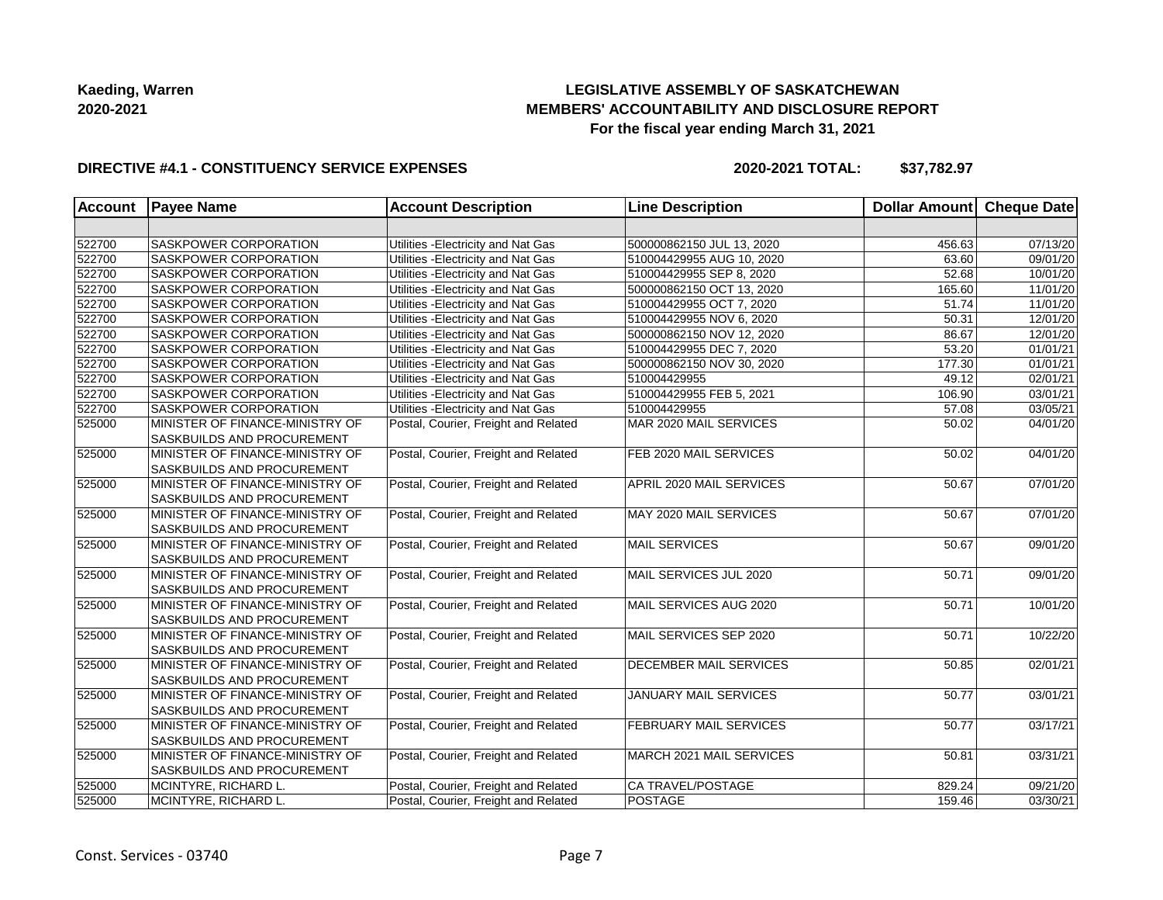## **LEGISLATIVE ASSEMBLY OF SASKATCHEWAN MEMBERS' ACCOUNTABILITY AND DISCLOSURE REPORT For the fiscal year ending March 31, 2021**

### **DIRECTIVE #4.1 - CONSTITUENCY SERVICE EXPENSES**

| <b>Account</b> | <b>Payee Name</b>                 | <b>Account Description</b>           | <b>Line Description</b>       | <b>Dollar Amount</b> | Cheque Date |
|----------------|-----------------------------------|--------------------------------------|-------------------------------|----------------------|-------------|
|                |                                   |                                      |                               |                      |             |
| 522700         | SASKPOWER CORPORATION             | Utilities - Electricity and Nat Gas  | 500000862150 JUL 13, 2020     | 456.63               | 07/13/20    |
| 522700         | SASKPOWER CORPORATION             | Utilities - Electricity and Nat Gas  | 510004429955 AUG 10, 2020     | 63.60                | 09/01/20    |
| 522700         | SASKPOWER CORPORATION             | Utilities - Electricity and Nat Gas  | 510004429955 SEP 8, 2020      | 52.68                | 10/01/20    |
| 522700         | SASKPOWER CORPORATION             | Utilities - Electricity and Nat Gas  | 500000862150 OCT 13, 2020     | 165.60               | 11/01/20    |
| 522700         | SASKPOWER CORPORATION             | Utilities - Electricity and Nat Gas  | 510004429955 OCT 7, 2020      | 51.74                | 11/01/20    |
| 522700         | SASKPOWER CORPORATION             | Utilities - Electricity and Nat Gas  | 510004429955 NOV 6, 2020      | 50.31                | 12/01/20    |
| 522700         | SASKPOWER CORPORATION             | Utilities - Electricity and Nat Gas  | 500000862150 NOV 12, 2020     | 86.67                | 12/01/20    |
| 522700         | SASKPOWER CORPORATION             | Utilities - Electricity and Nat Gas  | 510004429955 DEC 7, 2020      | 53.20                | 01/01/21    |
| 522700         | SASKPOWER CORPORATION             | Utilities - Electricity and Nat Gas  | 500000862150 NOV 30, 2020     | 177.30               | 01/01/21    |
| 522700         | SASKPOWER CORPORATION             | Utilities - Electricity and Nat Gas  | 510004429955                  | 49.12                | 02/01/21    |
| 522700         | SASKPOWER CORPORATION             | Utilities - Electricity and Nat Gas  | 510004429955 FEB 5, 2021      | 106.90               | 03/01/21    |
| 522700         | SASKPOWER CORPORATION             | Utilities - Electricity and Nat Gas  | 510004429955                  | 57.08                | 03/05/21    |
| 525000         | MINISTER OF FINANCE-MINISTRY OF   | Postal, Courier, Freight and Related | MAR 2020 MAIL SERVICES        | 50.02                | 04/01/20    |
|                | SASKBUILDS AND PROCUREMENT        |                                      |                               |                      |             |
| 525000         | MINISTER OF FINANCE-MINISTRY OF   | Postal, Courier, Freight and Related | FEB 2020 MAIL SERVICES        | 50.02                | 04/01/20    |
|                | SASKBUILDS AND PROCUREMENT        |                                      |                               |                      |             |
| 525000         | MINISTER OF FINANCE-MINISTRY OF   | Postal, Courier, Freight and Related | APRIL 2020 MAIL SERVICES      | 50.67                | 07/01/20    |
|                | SASKBUILDS AND PROCUREMENT        |                                      |                               |                      |             |
| 525000         | MINISTER OF FINANCE-MINISTRY OF   | Postal, Courier, Freight and Related | MAY 2020 MAIL SERVICES        | 50.67                | 07/01/20    |
|                | SASKBUILDS AND PROCUREMENT        |                                      |                               |                      |             |
| 525000         | MINISTER OF FINANCE-MINISTRY OF   | Postal, Courier, Freight and Related | MAIL SERVICES                 | 50.67                | 09/01/20    |
|                | SASKBUILDS AND PROCUREMENT        |                                      |                               |                      |             |
| 525000         | MINISTER OF FINANCE-MINISTRY OF   | Postal, Courier, Freight and Related | MAIL SERVICES JUL 2020        | 50.71                | 09/01/20    |
|                | SASKBUILDS AND PROCUREMENT        |                                      |                               |                      |             |
| 525000         | MINISTER OF FINANCE-MINISTRY OF   | Postal, Courier, Freight and Related | MAIL SERVICES AUG 2020        | 50.71                | 10/01/20    |
|                | SASKBUILDS AND PROCUREMENT        |                                      |                               |                      |             |
| 525000         | MINISTER OF FINANCE-MINISTRY OF   | Postal, Courier, Freight and Related | MAIL SERVICES SEP 2020        | 50.71                | 10/22/20    |
|                | <b>SASKBUILDS AND PROCUREMENT</b> |                                      |                               |                      |             |
| 525000         | MINISTER OF FINANCE-MINISTRY OF   | Postal, Courier, Freight and Related | <b>DECEMBER MAIL SERVICES</b> | 50.85                | 02/01/21    |
|                | SASKBUILDS AND PROCUREMENT        |                                      |                               |                      |             |
| 525000         | MINISTER OF FINANCE-MINISTRY OF   | Postal, Courier, Freight and Related | JANUARY MAIL SERVICES         | 50.77                | 03/01/21    |
|                | SASKBUILDS AND PROCUREMENT        |                                      |                               |                      |             |
| 525000         | MINISTER OF FINANCE-MINISTRY OF   | Postal, Courier, Freight and Related | <b>FEBRUARY MAIL SERVICES</b> | 50.77                | 03/17/21    |
|                | <b>SASKBUILDS AND PROCUREMENT</b> |                                      |                               |                      |             |
| 525000         | MINISTER OF FINANCE-MINISTRY OF   | Postal, Courier, Freight and Related | MARCH 2021 MAIL SERVICES      | 50.81                | 03/31/21    |
|                | SASKBUILDS AND PROCUREMENT        |                                      |                               |                      |             |
| 525000         | MCINTYRE, RICHARD L.              | Postal, Courier, Freight and Related | CA TRAVEL/POSTAGE             | 829.24               | 09/21/20    |
| 525000         | MCINTYRE, RICHARD L.              | Postal, Courier, Freight and Related | POSTAGE                       | 159.46               | 03/30/21    |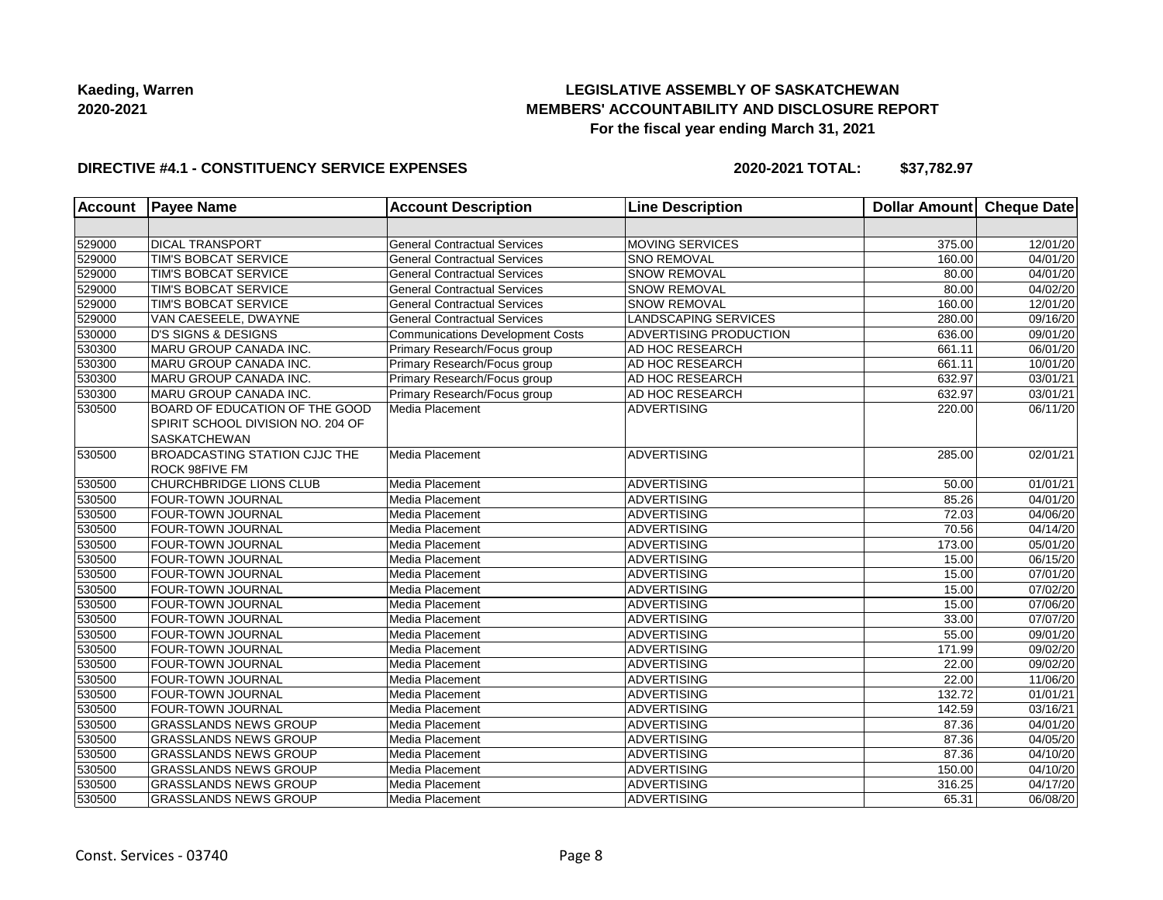## **LEGISLATIVE ASSEMBLY OF SASKATCHEWAN MEMBERS' ACCOUNTABILITY AND DISCLOSURE REPORT For the fiscal year ending March 31, 2021**

### **DIRECTIVE #4.1 - CONSTITUENCY SERVICE EXPENSES**

| <b>Account</b> | <b>Payee Name</b>                                                                          | <b>Account Description</b>              | <b>Line Description</b> | Dollar Amount   Cheque Date |          |
|----------------|--------------------------------------------------------------------------------------------|-----------------------------------------|-------------------------|-----------------------------|----------|
|                |                                                                                            |                                         |                         |                             |          |
| 529000         | <b>DICAL TRANSPORT</b>                                                                     | <b>General Contractual Services</b>     | <b>MOVING SERVICES</b>  | 375.00                      | 12/01/20 |
| 529000         | TIM'S BOBCAT SERVICE                                                                       | <b>General Contractual Services</b>     | <b>SNO REMOVAL</b>      | 160.00                      | 04/01/20 |
| 529000         | TIM'S BOBCAT SERVICE                                                                       | <b>General Contractual Services</b>     | <b>SNOW REMOVAL</b>     | 80.00                       | 04/01/20 |
| 529000         | TIM'S BOBCAT SERVICE                                                                       | <b>General Contractual Services</b>     | <b>SNOW REMOVAL</b>     | 80.00                       | 04/02/20 |
| 529000         | TIM'S BOBCAT SERVICE                                                                       | <b>General Contractual Services</b>     | <b>SNOW REMOVAL</b>     | 160.00                      | 12/01/20 |
| 529000         | VAN CAESEELE, DWAYNE                                                                       | <b>General Contractual Services</b>     | LANDSCAPING SERVICES    | 280.00                      | 09/16/20 |
| 530000         | <b>D'S SIGNS &amp; DESIGNS</b>                                                             | <b>Communications Development Costs</b> | ADVERTISING PRODUCTION  | 636.00                      | 09/01/20 |
| 530300         | MARU GROUP CANADA INC.                                                                     | Primary Research/Focus group            | AD HOC RESEARCH         | 661.11                      | 06/01/20 |
| 530300         | MARU GROUP CANADA INC.                                                                     | Primary Research/Focus group            | AD HOC RESEARCH         | 661.11                      | 10/01/20 |
| 530300         | MARU GROUP CANADA INC.                                                                     | Primary Research/Focus group            | AD HOC RESEARCH         | 632.97                      | 03/01/21 |
| 530300         | MARU GROUP CANADA INC.                                                                     | Primary Research/Focus group            | AD HOC RESEARCH         | 632.97                      | 03/01/21 |
| 530500         | BOARD OF EDUCATION OF THE GOOD<br>SPIRIT SCHOOL DIVISION NO. 204 OF<br><b>SASKATCHEWAN</b> | Media Placement                         | <b>ADVERTISING</b>      | 220.00                      | 06/11/20 |
| 530500         | <b>BROADCASTING STATION CJJC THE</b><br><b>ROCK 98FIVE FM</b>                              | Media Placement                         | ADVERTISING             | 285.00                      | 02/01/21 |
| 530500         | CHURCHBRIDGE LIONS CLUB                                                                    | Media Placement                         | <b>ADVERTISING</b>      | 50.00                       | 01/01/21 |
| 530500         | <b>FOUR-TOWN JOURNAL</b>                                                                   | Media Placement                         | <b>ADVERTISING</b>      | 85.26                       | 04/01/20 |
| 530500         | FOUR-TOWN JOURNAL                                                                          | Media Placement                         | <b>ADVERTISING</b>      | 72.03                       | 04/06/20 |
| 530500         | <b>FOUR-TOWN JOURNAL</b>                                                                   | Media Placement                         | <b>ADVERTISING</b>      | 70.56                       | 04/14/20 |
| 530500         | FOUR-TOWN JOURNAL                                                                          | Media Placement                         | <b>ADVERTISING</b>      | 173.00                      | 05/01/20 |
| 530500         | <b>FOUR-TOWN JOURNAL</b>                                                                   | Media Placement                         | <b>ADVERTISING</b>      | 15.00                       | 06/15/20 |
| 530500         | FOUR-TOWN JOURNAL                                                                          | Media Placement                         | <b>ADVERTISING</b>      | 15.00                       | 07/01/20 |
| 530500         | FOUR-TOWN JOURNAL                                                                          | Media Placement                         | <b>ADVERTISING</b>      | 15.00                       | 07/02/20 |
| 530500         | <b>FOUR-TOWN JOURNAL</b>                                                                   | Media Placement                         | <b>ADVERTISING</b>      | 15.00                       | 07/06/20 |
| 530500         | <b>FOUR-TOWN JOURNAL</b>                                                                   | Media Placement                         | <b>ADVERTISING</b>      | 33.00                       | 07/07/20 |
| 530500         | <b>FOUR-TOWN JOURNAL</b>                                                                   | Media Placement                         | ADVERTISING             | 55.00                       | 09/01/20 |
| 530500         | <b>FOUR-TOWN JOURNAL</b>                                                                   | Media Placement                         | <b>ADVERTISING</b>      | 171.99                      | 09/02/20 |
| 530500         | FOUR-TOWN JOURNAL                                                                          | Media Placement                         | <b>ADVERTISING</b>      | 22.00                       | 09/02/20 |
| 530500         | <b>FOUR-TOWN JOURNAL</b>                                                                   | Media Placement                         | <b>ADVERTISING</b>      | 22.00                       | 11/06/20 |
| 530500         | <b>FOUR-TOWN JOURNAL</b>                                                                   | Media Placement                         | <b>ADVERTISING</b>      | 132.72                      | 01/01/21 |
| 530500         | <b>FOUR-TOWN JOURNAL</b>                                                                   | Media Placement                         | <b>ADVERTISING</b>      | 142.59                      | 03/16/21 |
| 530500         | <b>GRASSLANDS NEWS GROUP</b>                                                               | Media Placement                         | <b>ADVERTISING</b>      | 87.36                       | 04/01/20 |
| 530500         | <b>GRASSLANDS NEWS GROUP</b>                                                               | Media Placement                         | <b>ADVERTISING</b>      | 87.36                       | 04/05/20 |
| 530500         | <b>GRASSLANDS NEWS GROUP</b>                                                               | Media Placement                         | <b>ADVERTISING</b>      | 87.36                       | 04/10/20 |
| 530500         | <b>GRASSLANDS NEWS GROUP</b>                                                               | Media Placement                         | <b>ADVERTISING</b>      | 150.00                      | 04/10/20 |
| 530500         | <b>GRASSLANDS NEWS GROUP</b>                                                               | Media Placement                         | <b>ADVERTISING</b>      | 316.25                      | 04/17/20 |
| 530500         | <b>GRASSLANDS NEWS GROUP</b>                                                               | Media Placement                         | <b>ADVERTISING</b>      | 65.31                       | 06/08/20 |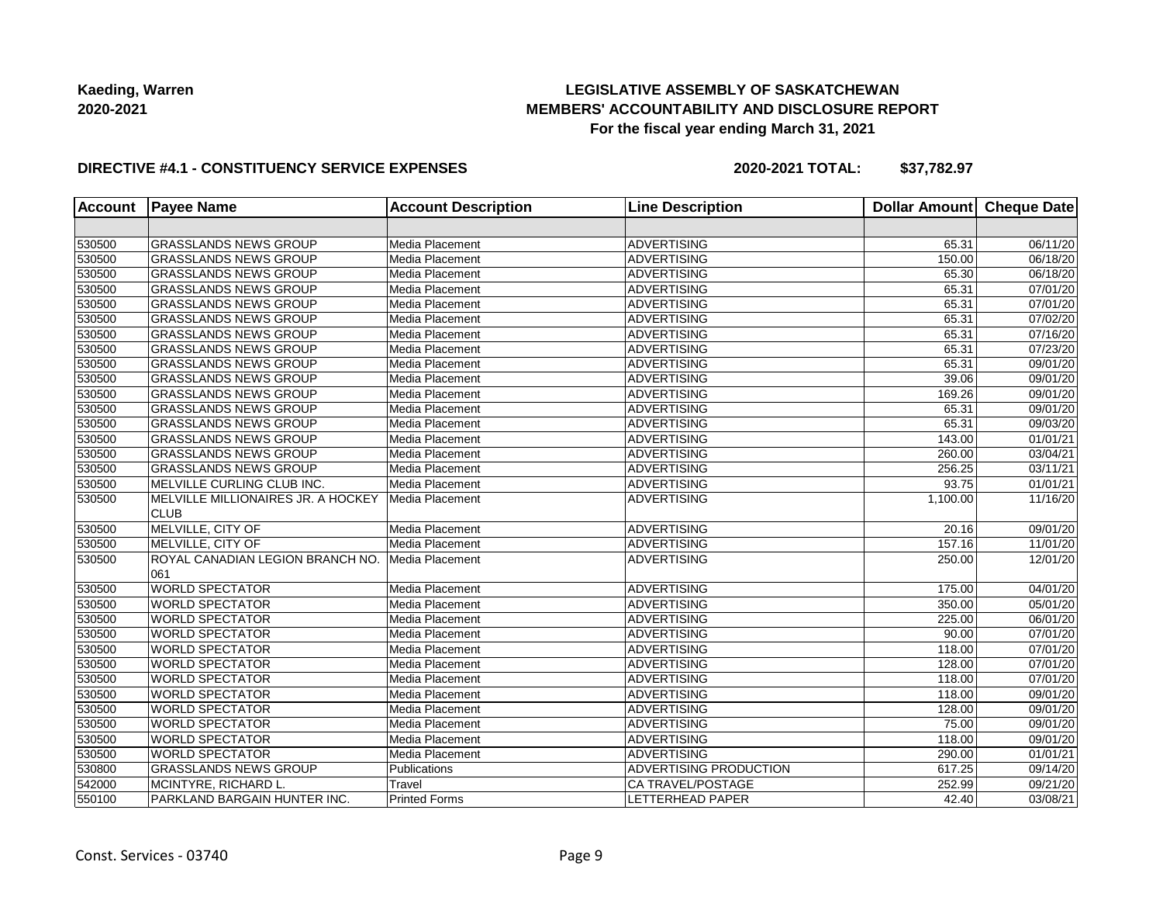## **LEGISLATIVE ASSEMBLY OF SASKATCHEWAN MEMBERS' ACCOUNTABILITY AND DISCLOSURE REPORT For the fiscal year ending March 31, 2021**

### **DIRECTIVE #4.1 - CONSTITUENCY SERVICE EXPENSES**

| <b>Account</b> | <b>Payee Name</b>                                 | <b>Account Description</b> | <b>Line Description</b> | <b>Dollar Amount</b> | <b>Cheque Date</b>    |
|----------------|---------------------------------------------------|----------------------------|-------------------------|----------------------|-----------------------|
|                |                                                   |                            |                         |                      |                       |
| 530500         | <b>GRASSLANDS NEWS GROUP</b>                      | Media Placement            | <b>ADVERTISING</b>      | 65.31                | 06/11/20              |
| 530500         | <b>GRASSLANDS NEWS GROUP</b>                      | Media Placement            | <b>ADVERTISING</b>      | 150.00               | 06/18/20              |
| 530500         | <b>GRASSLANDS NEWS GROUP</b>                      | Media Placement            | <b>ADVERTISING</b>      | 65.30                | 06/18/20              |
| 530500         | <b>GRASSLANDS NEWS GROUP</b>                      | Media Placement            | <b>ADVERTISING</b>      | 65.31                | 07/01/20              |
| 530500         | <b>GRASSLANDS NEWS GROUP</b>                      | Media Placement            | <b>ADVERTISING</b>      | 65.31                | 07/01/20              |
| 530500         | <b>GRASSLANDS NEWS GROUP</b>                      | Media Placement            | <b>ADVERTISING</b>      | 65.31                | 07/02/20              |
| 530500         | <b>GRASSLANDS NEWS GROUP</b>                      | Media Placement            | <b>ADVERTISING</b>      | 65.31                | 07/16/20              |
| 530500         | <b>GRASSLANDS NEWS GROUP</b>                      | Media Placement            | <b>ADVERTISING</b>      | 65.31                | 07/23/20              |
| 530500         | <b>GRASSLANDS NEWS GROUP</b>                      | Media Placement            | <b>ADVERTISING</b>      | 65.31                | 09/01/20              |
| 530500         | <b>GRASSLANDS NEWS GROUP</b>                      | Media Placement            | <b>ADVERTISING</b>      | 39.06                | 09/01/20              |
| 530500         | <b>GRASSLANDS NEWS GROUP</b>                      | Media Placement            | <b>ADVERTISING</b>      | 169.26               | 09/01/20              |
| 530500         | <b>GRASSLANDS NEWS GROUP</b>                      | Media Placement            | <b>ADVERTISING</b>      | 65.31                | 09/01/20              |
| 530500         | <b>GRASSLANDS NEWS GROUP</b>                      | Media Placement            | <b>ADVERTISING</b>      | 65.31                | 09/03/20              |
| 530500         | <b>GRASSLANDS NEWS GROUP</b>                      | Media Placement            | <b>ADVERTISING</b>      | 143.00               | 01/01/21              |
| 530500         | <b>GRASSLANDS NEWS GROUP</b>                      | Media Placement            | <b>ADVERTISING</b>      | 260.00               | 03/04/21              |
| 530500         | <b>GRASSLANDS NEWS GROUP</b>                      | Media Placement            | <b>ADVERTISING</b>      | 256.25               | 03/11/21              |
| 530500         | MELVILLE CURLING CLUB INC.                        | Media Placement            | <b>ADVERTISING</b>      | 93.75                | 01/01/21              |
| 530500         | MELVILLE MILLIONAIRES JR. A HOCKEY<br><b>CLUB</b> | Media Placement            | <b>ADVERTISING</b>      | 1,100.00             | 11/16/20              |
| 530500         | MELVILLE, CITY OF                                 | Media Placement            | <b>ADVERTISING</b>      | 20.16                | 09/01/20              |
| 530500         | MELVILLE, CITY OF                                 | Media Placement            | <b>ADVERTISING</b>      | 157.16               | 11/01/20              |
| 530500         | ROYAL CANADIAN LEGION BRANCH NO.<br>061           | Media Placement            | <b>ADVERTISING</b>      | 250.00               | 12/01/20              |
| 530500         | <b>WORLD SPECTATOR</b>                            | Media Placement            | <b>ADVERTISING</b>      | 175.00               | 04/01/20              |
| 530500         | <b>WORLD SPECTATOR</b>                            | Media Placement            | <b>ADVERTISING</b>      | 350.00               | 05/01/20              |
| 530500         | <b>WORLD SPECTATOR</b>                            | Media Placement            | <b>ADVERTISING</b>      | 225.00               | 06/01/20              |
| 530500         | <b>WORLD SPECTATOR</b>                            | Media Placement            | <b>ADVERTISING</b>      | 90.00                | 07/01/20              |
| 530500         | <b>WORLD SPECTATOR</b>                            | Media Placement            | <b>ADVERTISING</b>      | 118.00               | 07/01/20              |
| 530500         | <b>WORLD SPECTATOR</b>                            | Media Placement            | <b>ADVERTISING</b>      | 128.00               | $\overline{07/01/20}$ |
| 530500         | <b>WORLD SPECTATOR</b>                            | Media Placement            | <b>ADVERTISING</b>      | 118.00               | 07/01/20              |
| 530500         | <b>WORLD SPECTATOR</b>                            | Media Placement            | <b>ADVERTISING</b>      | 118.00               | 09/01/20              |
| 530500         | <b>WORLD SPECTATOR</b>                            | Media Placement            | <b>ADVERTISING</b>      | 128.00               | 09/01/20              |
| 530500         | <b>WORLD SPECTATOR</b>                            | Media Placement            | <b>ADVERTISING</b>      | 75.00                | 09/01/20              |
| 530500         | <b>WORLD SPECTATOR</b>                            | Media Placement            | <b>ADVERTISING</b>      | 118.00               | 09/01/20              |
| 530500         | <b>WORLD SPECTATOR</b>                            | Media Placement            | <b>ADVERTISING</b>      | 290.00               | 01/01/21              |
| 530800         | <b>GRASSLANDS NEWS GROUP</b>                      | Publications               | ADVERTISING PRODUCTION  | 617.25               | 09/14/20              |
| 542000         | MCINTYRE, RICHARD L.                              | Travel                     | CA TRAVEL/POSTAGE       | 252.99               | 09/21/20              |
| 550100         | PARKLAND BARGAIN HUNTER INC.                      | <b>Printed Forms</b>       | LETTERHEAD PAPER        | 42.40                | 03/08/21              |
|                |                                                   |                            |                         |                      |                       |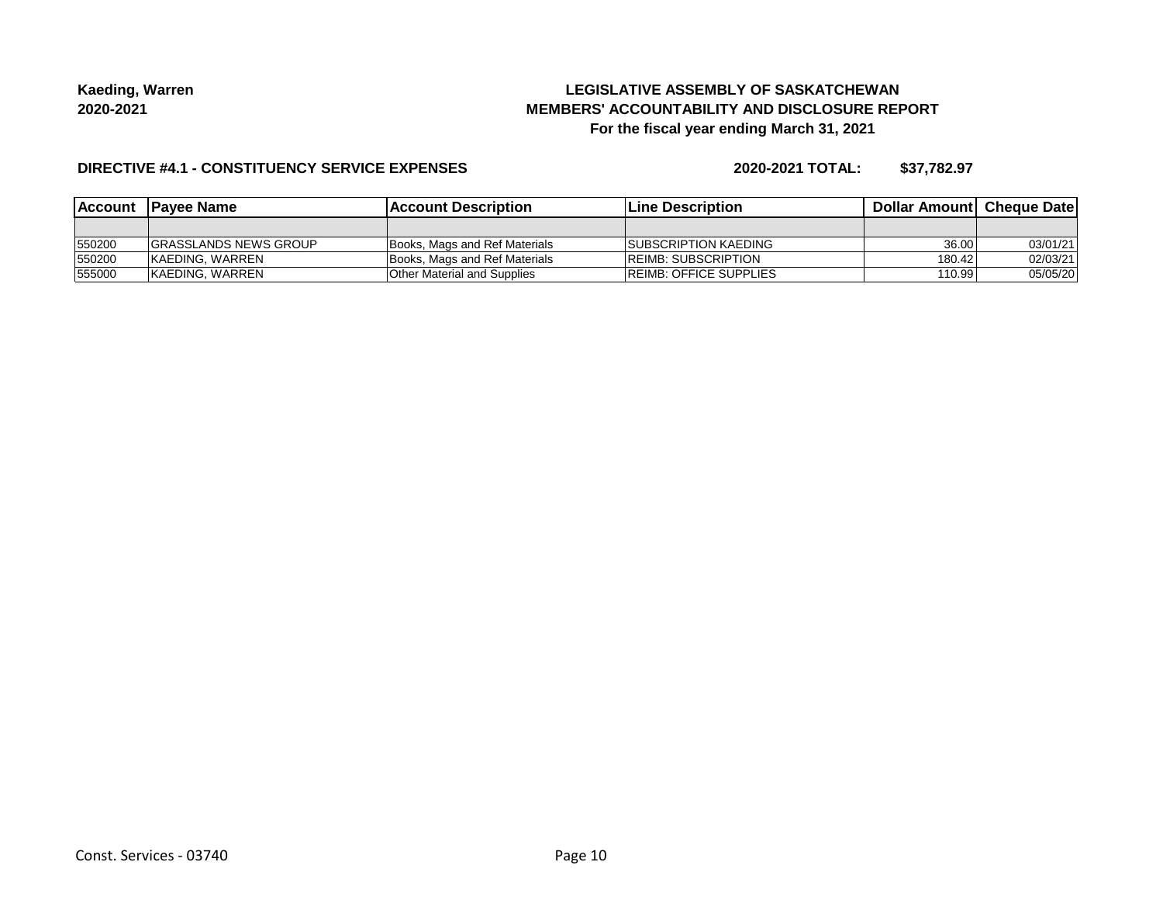## **LEGISLATIVE ASSEMBLY OF SASKATCHEWAN MEMBERS' ACCOUNTABILITY AND DISCLOSURE REPORT For the fiscal year ending March 31, 2021**

#### **DIRECTIVE #4.1 - CONSTITUENCY SERVICE EXPENSES**

|        | Account Payee Name            | <b>IAccount Description</b>   | <b>Line Description</b>        | <b>Dollar Amountl Cheque Date</b> |          |
|--------|-------------------------------|-------------------------------|--------------------------------|-----------------------------------|----------|
|        |                               |                               |                                |                                   |          |
| 550200 | <b>IGRASSLANDS NEWS GROUP</b> | Books, Mags and Ref Materials | <b>ISUBSCRIPTION KAEDING</b>   | 36.00                             | 03/01/21 |
| 550200 | <b>KAEDING, WARREN</b>        | Books, Mags and Ref Materials | <b>IREIMB: SUBSCRIPTION</b>    | 180.42                            | 02/03/21 |
| 555000 | <b>KAEDING, WARREN</b>        | Other Material and Supplies   | <b>IREIMB: OFFICE SUPPLIES</b> | 110.99                            | 05/05/20 |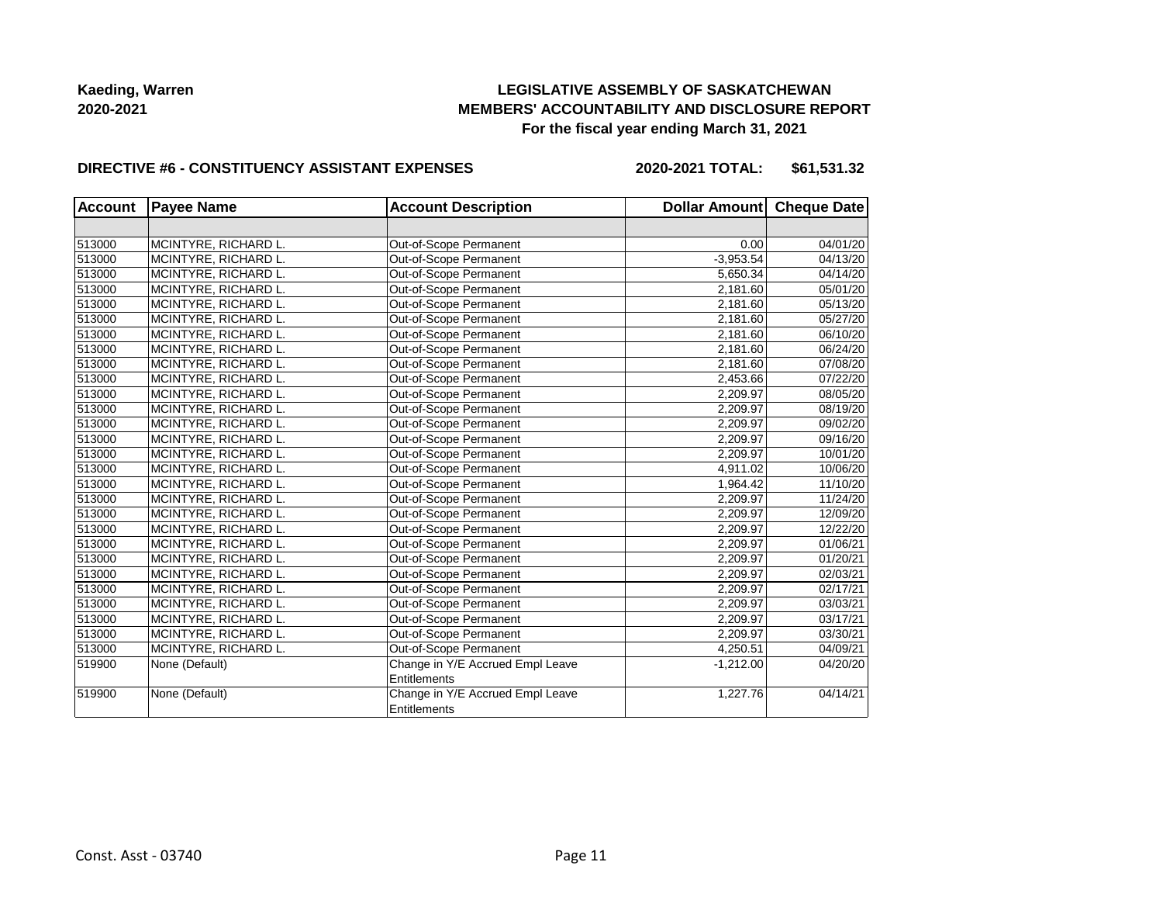## **LEGISLATIVE ASSEMBLY OF SASKATCHEWAN MEMBERS' ACCOUNTABILITY AND DISCLOSURE REPORT For the fiscal year ending March 31, 2021**

#### **DIRECTIVE #6 - CONSTITUENCY ASSISTANT EXPENSES**

**2020-2021 TOTAL: \$61,531.32**

| <b>Account</b> | <b>Payee Name</b>    | <b>Account Description</b>       | Dollar Amount Cheque Date |          |
|----------------|----------------------|----------------------------------|---------------------------|----------|
|                |                      |                                  |                           |          |
| 513000         | MCINTYRE, RICHARD L. | Out-of-Scope Permanent           | 0.00                      | 04/01/20 |
| 513000         | MCINTYRE, RICHARD L. | Out-of-Scope Permanent           | $-3,953.54$               | 04/13/20 |
| 513000         | MCINTYRE, RICHARD L. | Out-of-Scope Permanent           | 5,650.34                  | 04/14/20 |
| 513000         | MCINTYRE, RICHARD L. | Out-of-Scope Permanent           | 2,181.60                  | 05/01/20 |
| 513000         | MCINTYRE, RICHARD L. | Out-of-Scope Permanent           | 2,181.60                  | 05/13/20 |
| 513000         | MCINTYRE, RICHARD L. | Out-of-Scope Permanent           | 2,181.60                  | 05/27/20 |
| 513000         | MCINTYRE, RICHARD L. | Out-of-Scope Permanent           | 2,181.60                  | 06/10/20 |
| 513000         | MCINTYRE, RICHARD L. | Out-of-Scope Permanent           | 2,181.60                  | 06/24/20 |
| 513000         | MCINTYRE, RICHARD L. | Out-of-Scope Permanent           | 2,181.60                  | 07/08/20 |
| 513000         | MCINTYRE, RICHARD L. | Out-of-Scope Permanent           | 2,453.66                  | 07/22/20 |
| 513000         | MCINTYRE, RICHARD L. | Out-of-Scope Permanent           | 2,209.97                  | 08/05/20 |
| 513000         | MCINTYRE, RICHARD L. | Out-of-Scope Permanent           | 2,209.97                  | 08/19/20 |
| 513000         | MCINTYRE, RICHARD L. | Out-of-Scope Permanent           | 2,209.97                  | 09/02/20 |
| 513000         | MCINTYRE, RICHARD L. | Out-of-Scope Permanent           | 2,209.97                  | 09/16/20 |
| 513000         | MCINTYRE, RICHARD L. | Out-of-Scope Permanent           | 2,209.97                  | 10/01/20 |
| 513000         | MCINTYRE, RICHARD L. | Out-of-Scope Permanent           | 4,911.02                  | 10/06/20 |
| 513000         | MCINTYRE, RICHARD L. | Out-of-Scope Permanent           | 1,964.42                  | 11/10/20 |
| 513000         | MCINTYRE, RICHARD L. | Out-of-Scope Permanent           | 2,209.97                  | 11/24/20 |
| 513000         | MCINTYRE, RICHARD L. | Out-of-Scope Permanent           | 2,209.97                  | 12/09/20 |
| 513000         | MCINTYRE, RICHARD L. | Out-of-Scope Permanent           | 2,209.97                  | 12/22/20 |
| 513000         | MCINTYRE, RICHARD L. | Out-of-Scope Permanent           | 2,209.97                  | 01/06/21 |
| 513000         | MCINTYRE, RICHARD L. | Out-of-Scope Permanent           | 2,209.97                  | 01/20/21 |
| 513000         | MCINTYRE, RICHARD L. | Out-of-Scope Permanent           | 2,209.97                  | 02/03/21 |
| 513000         | MCINTYRE, RICHARD L. | Out-of-Scope Permanent           | 2,209.97                  | 02/17/21 |
| 513000         | MCINTYRE, RICHARD L. | Out-of-Scope Permanent           | 2,209.97                  | 03/03/21 |
| 513000         | MCINTYRE, RICHARD L. | Out-of-Scope Permanent           | 2,209.97                  | 03/17/21 |
| 513000         | MCINTYRE, RICHARD L. | Out-of-Scope Permanent           | 2,209.97                  | 03/30/21 |
| 513000         | MCINTYRE, RICHARD L. | Out-of-Scope Permanent           | 4,250.51                  | 04/09/21 |
| 519900         | None (Default)       | Change in Y/E Accrued Empl Leave | $-1,212.00$               | 04/20/20 |
|                |                      | Entitlements                     |                           |          |
| 519900         | None (Default)       | Change in Y/E Accrued Empl Leave | 1,227.76                  | 04/14/21 |
|                |                      | Entitlements                     |                           |          |